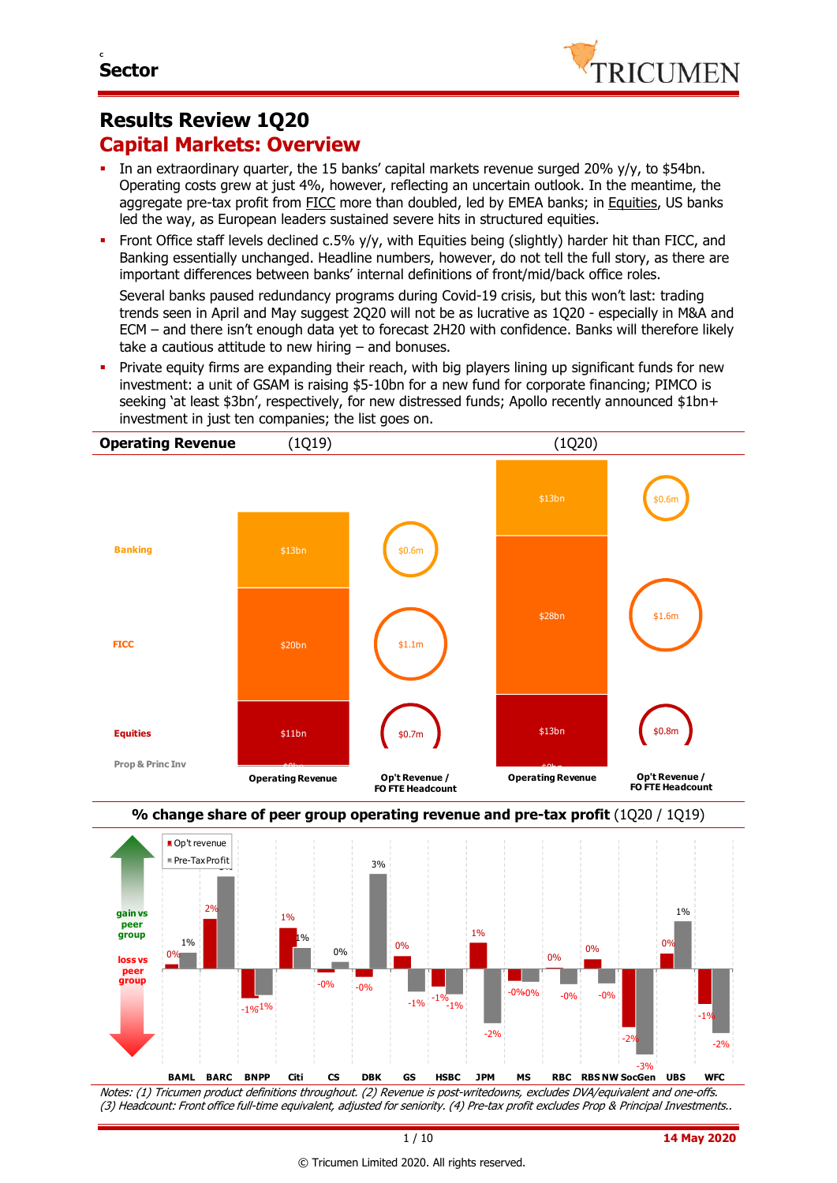# **Results Review 1Q20 Capital Markets: Overview**

- In an extraordinary quarter, the 15 banks' capital markets revenue surged 20% y/y, to \$54bn. Operating costs grew at just 4%, however, reflecting an uncertain outlook. In the meantime, the aggregate pre-tax profit from FICC more than doubled, led by EMEA banks; in Equities, US banks led the way, as European leaders sustained severe hits in structured equities.
- Front Office staff levels declined c.5% y/y, with Equities being (slightly) harder hit than FICC, and Banking essentially unchanged. Headline numbers, however, do not tell the full story, as there are important differences between banks' internal definitions of front/mid/back office roles.

Several banks paused redundancy programs during Covid-19 crisis, but this won't last: trading trends seen in April and May suggest 2Q20 will not be as lucrative as 1Q20 - especially in M&A and ECM – and there isn't enough data yet to forecast 2H20 with confidence. Banks will therefore likely take a cautious attitude to new hiring – and bonuses.

 Private equity firms are expanding their reach, with big players lining up significant funds for new investment: a unit of GSAM is raising \$5-10bn for a new fund for corporate financing; PIMCO is seeking 'at least \$3bn', respectively, for new distressed funds; Apollo recently announced \$1bn+ investment in just ten companies; the list goes on.





Notes: (1) Tricumen product definitions throughout. (2) Revenue is post-writedowns, excludes DVA/equivalent and one-offs. (3) Headcount: Front office full-time equivalent, adjusted for seniority. (4) Pre-tax profit excludes Prop & Principal Investments..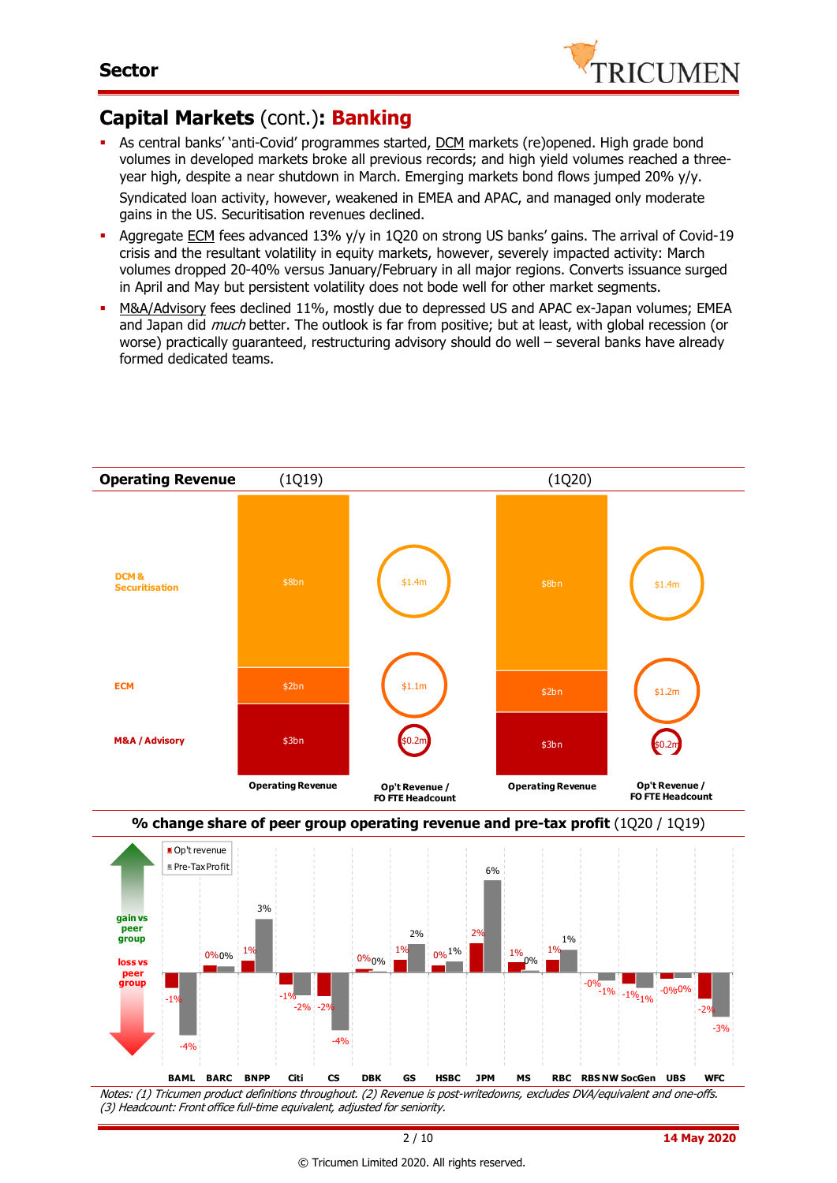

# **Capital Markets** (cont.)**: Banking**

As central banks' 'anti-Covid' programmes started, DCM markets (re)opened. High grade bond volumes in developed markets broke all previous records; and high yield volumes reached a threeyear high, despite a near shutdown in March. Emerging markets bond flows jumped 20% y/y. Syndicated loan activity, however, weakened in EMEA and APAC, and managed only moderate

gains in the US. Securitisation revenues declined.

- Aggregate ECM fees advanced 13% y/y in 1Q20 on strong US banks' gains. The arrival of Covid-19 crisis and the resultant volatility in equity markets, however, severely impacted activity: March volumes dropped 20-40% versus January/February in all major regions. Converts issuance surged in April and May but persistent volatility does not bode well for other market segments.
- M&A/Advisory fees declined 11%, mostly due to depressed US and APAC ex-Japan volumes; EMEA and Japan did *much* better. The outlook is far from positive; but at least, with global recession (or worse) practically guaranteed, restructuring advisory should do well – several banks have already formed dedicated teams.

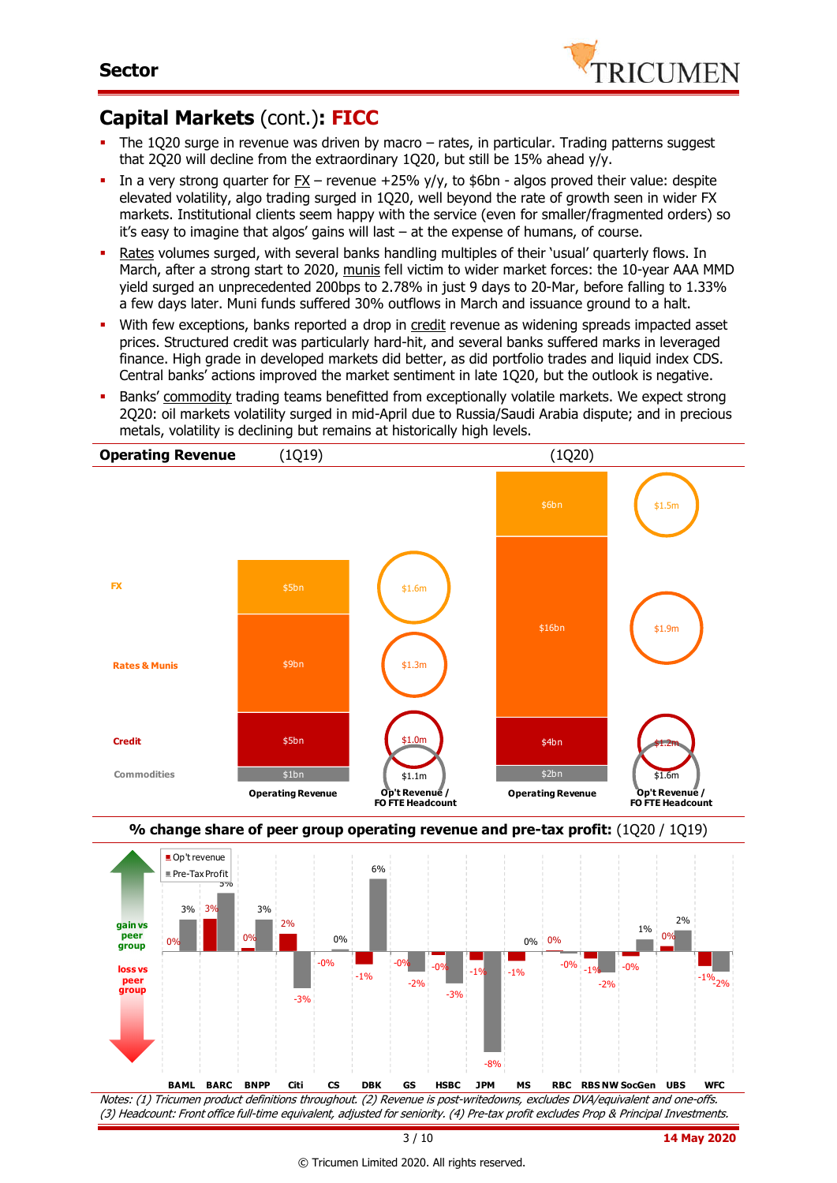

# **Capital Markets** (cont.)**: FICC**

- The 1Q20 surge in revenue was driven by macro rates, in particular. Trading patterns suggest that 2Q20 will decline from the extraordinary 1Q20, but still be 15% ahead y/y.
- In a very strong quarter for  $FX$  revenue  $+25\%$  v/v, to \$6bn algos proved their value: despite elevated volatility, algo trading surged in 1Q20, well beyond the rate of growth seen in wider FX markets. Institutional clients seem happy with the service (even for smaller/fragmented orders) so it's easy to imagine that algos' gains will last – at the expense of humans, of course.
- Rates volumes surged, with several banks handling multiples of their 'usual' quarterly flows. In March, after a strong start to 2020, munis fell victim to wider market forces: the 10-year AAA MMD yield surged an unprecedented 200bps to 2.78% in just 9 days to 20-Mar, before falling to 1.33% a few days later. Muni funds suffered 30% outflows in March and issuance ground to a halt.
- With few exceptions, banks reported a drop in credit revenue as widening spreads impacted asset prices. Structured credit was particularly hard-hit, and several banks suffered marks in leveraged finance. High grade in developed markets did better, as did portfolio trades and liquid index CDS. Central banks' actions improved the market sentiment in late 1Q20, but the outlook is negative.
- **Banks' commodity trading teams benefitted from exceptionally volatile markets. We expect strong** 2Q20: oil markets volatility surged in mid-April due to Russia/Saudi Arabia dispute; and in precious metals, volatility is declining but remains at historically high levels.





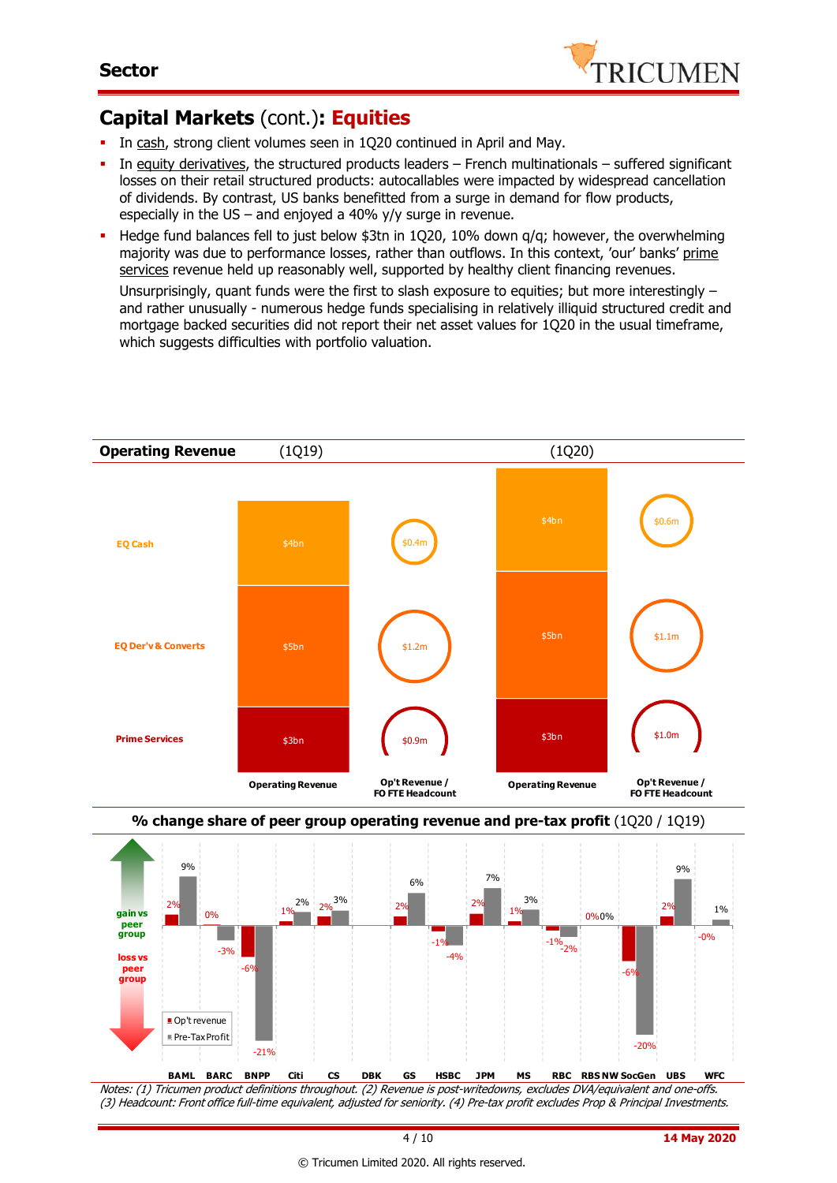

# **Capital Markets** (cont.)**: Equities**

- In cash, strong client volumes seen in 1Q20 continued in April and May.
- In equity derivatives, the structured products leaders French multinationals suffered significant losses on their retail structured products: autocallables were impacted by widespread cancellation of dividends. By contrast, US banks benefitted from a surge in demand for flow products, especially in the US – and enjoyed a 40%  $y/y$  surge in revenue.
- Hedge fund balances fell to just below \$3tn in 1Q20, 10% down  $q/q$ ; however, the overwhelming majority was due to performance losses, rather than outflows. In this context, 'our' banks' prime services revenue held up reasonably well, supported by healthy client financing revenues.

Unsurprisingly, quant funds were the first to slash exposure to equities; but more interestingly – and rather unusually - numerous hedge funds specialising in relatively illiquid structured credit and mortgage backed securities did not report their net asset values for 1Q20 in the usual timeframe, which suggests difficulties with portfolio valuation.





Notes: (1) Tricumen product definitions throughout. (2) Revenue is post-writedowns, excludes DVA/equivalent and one-offs. (3) Headcount: Front office full-time equivalent, adjusted for seniority. (4) Pre-tax profit excludes Prop & Principal Investments.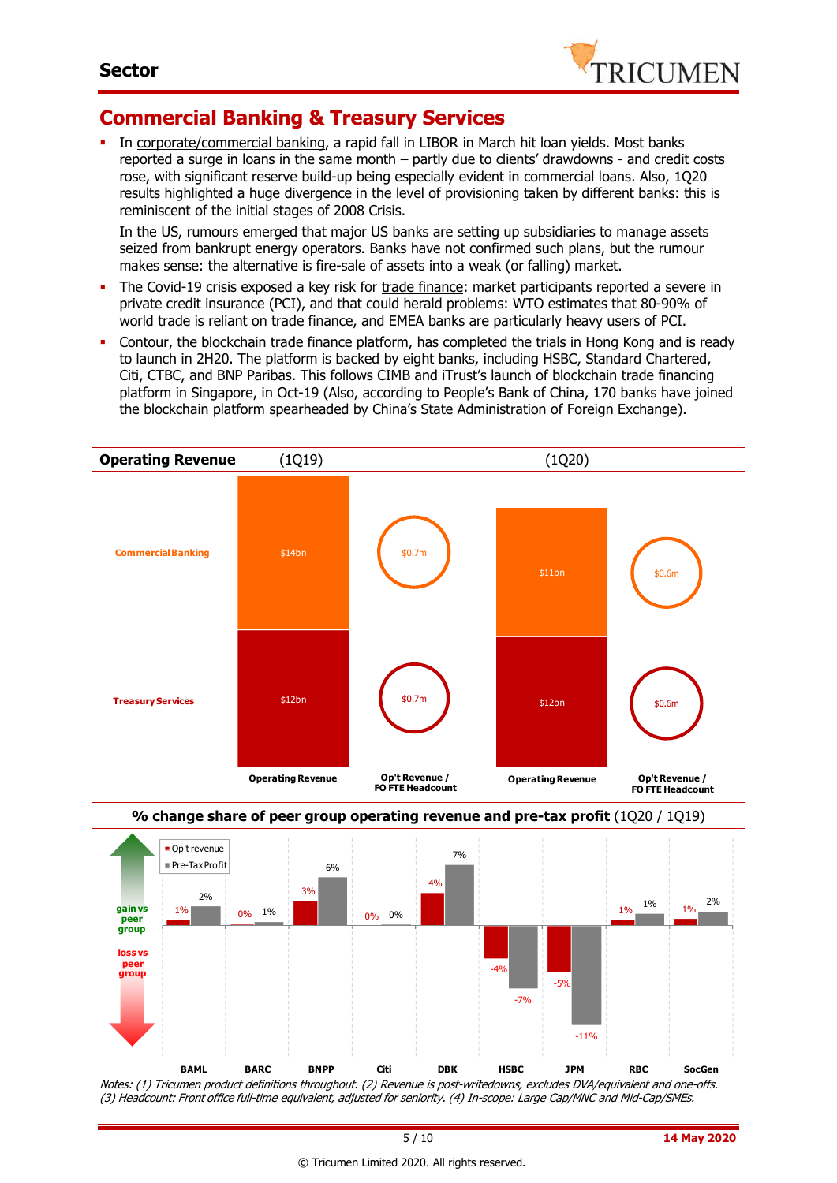

### **Commercial Banking & Treasury Services**

 In corporate/commercial banking, a rapid fall in LIBOR in March hit loan yields. Most banks reported a surge in loans in the same month – partly due to clients' drawdowns - and credit costs rose, with significant reserve build-up being especially evident in commercial loans. Also, 1Q20 results highlighted a huge divergence in the level of provisioning taken by different banks: this is reminiscent of the initial stages of 2008 Crisis.

In the US, rumours emerged that major US banks are setting up subsidiaries to manage assets seized from bankrupt energy operators. Banks have not confirmed such plans, but the rumour makes sense: the alternative is fire-sale of assets into a weak (or falling) market.

- The Covid-19 crisis exposed a key risk for trade finance: market participants reported a severe in private credit insurance (PCI), and that could herald problems: WTO estimates that 80-90% of world trade is reliant on trade finance, and EMEA banks are particularly heavy users of PCI.
- Contour, the blockchain trade finance platform, has completed the trials in Hong Kong and is ready to launch in 2H20. The platform is backed by eight banks, including HSBC, Standard Chartered, Citi, CTBC, and BNP Paribas. This follows CIMB and iTrust's launch of blockchain trade financing platform in Singapore, in Oct-19 (Also, according to People's Bank of China, 170 banks have joined the blockchain platform spearheaded by China's State Administration of Foreign Exchange).



Notes: (1) Tricumen product definitions throughout. (2) Revenue is post-writedowns, excludes DVA/equivalent and one-offs. (3) Headcount: Front office full-time equivalent, adjusted for seniority. (4) In-scope: Large Cap/MNC and Mid-Cap/SMEs.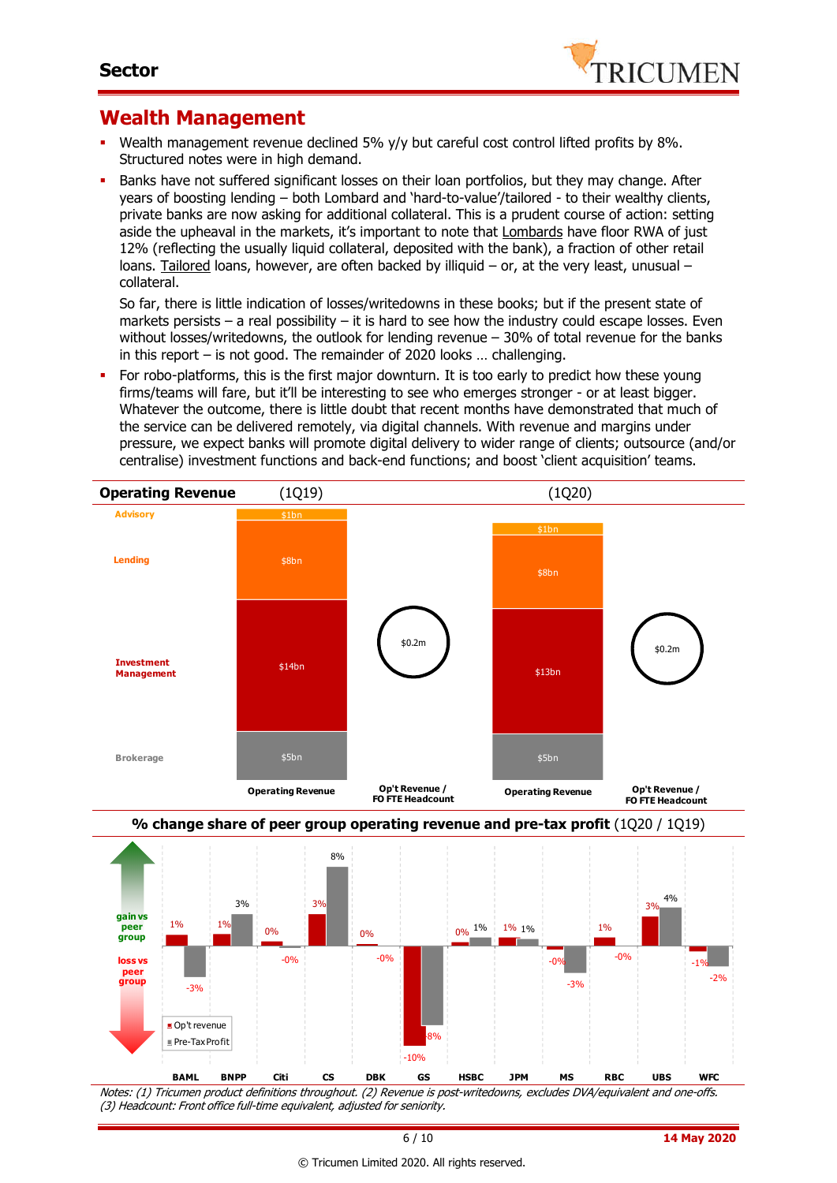

### **Wealth Management**

- Wealth management revenue declined 5% y/y but careful cost control lifted profits by 8%. Structured notes were in high demand.
- Banks have not suffered significant losses on their loan portfolios, but they may change. After years of boosting lending – both Lombard and 'hard-to-value'/tailored - to their wealthy clients, private banks are now asking for additional collateral. This is a prudent course of action: setting aside the upheaval in the markets, it's important to note that Lombards have floor RWA of just 12% (reflecting the usually liquid collateral, deposited with the bank), a fraction of other retail loans. Tailored loans, however, are often backed by illiquid – or, at the very least, unusual – collateral.

So far, there is little indication of losses/writedowns in these books; but if the present state of markets persists – a real possibility – it is hard to see how the industry could escape losses. Even without losses/writedowns, the outlook for lending revenue – 30% of total revenue for the banks in this report – is not good. The remainder of 2020 looks … challenging.

 For robo-platforms, this is the first major downturn. It is too early to predict how these young firms/teams will fare, but it'll be interesting to see who emerges stronger - or at least bigger. Whatever the outcome, there is little doubt that recent months have demonstrated that much of the service can be delivered remotely, via digital channels. With revenue and margins under pressure, we expect banks will promote digital delivery to wider range of clients; outsource (and/or centralise) investment functions and back-end functions; and boost 'client acquisition' teams.





Notes: (1) Tricumen product definitions throughout. (2) Revenue is post-writedowns, excludes DVA/equivalent and one-offs. (3) Headcount: Front office full-time equivalent, adjusted for seniority.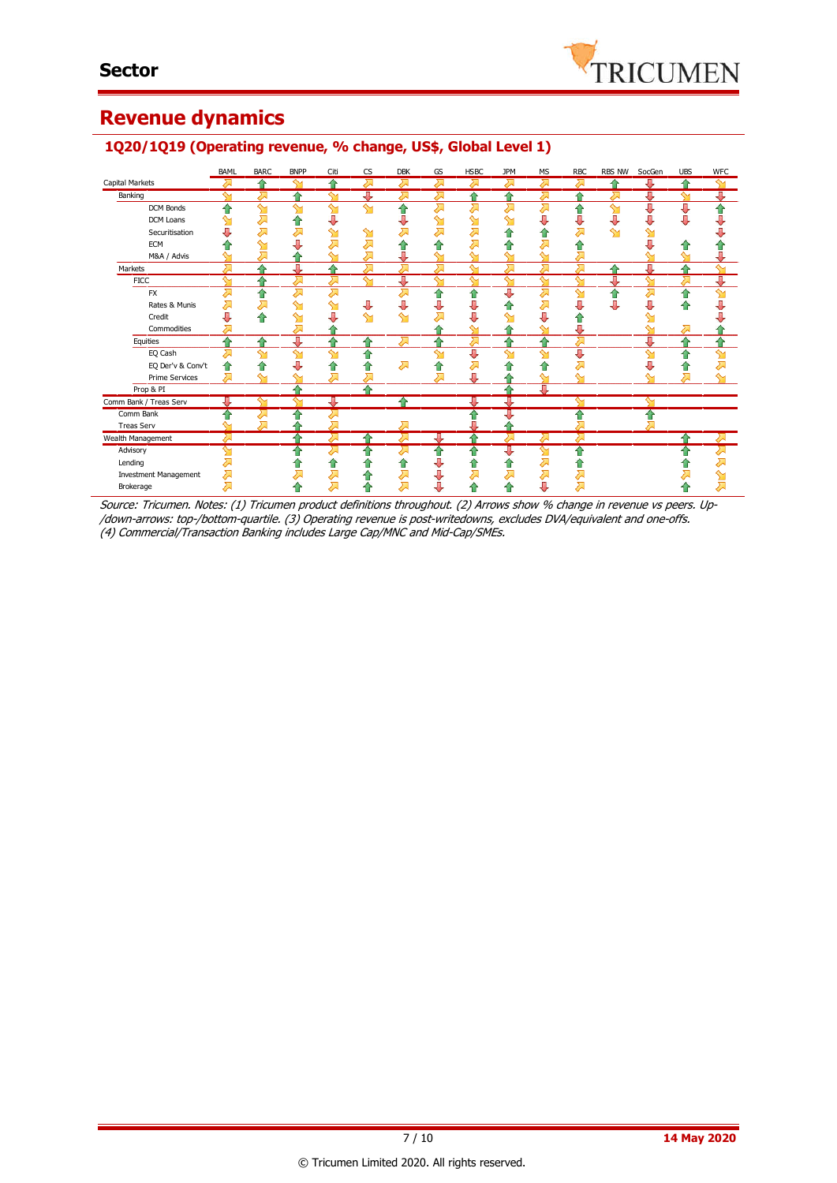# **Revenue dynamics**

### **1Q20/1Q19 (Operating revenue, % change, US\$, Global Level 1)**

|                              | <b>BAML</b>             | <b>BARC</b> | <b>BNPP</b> | Citi         | <b>CS</b> | <b>DBK</b> | GS     | <b>HSBC</b> | <b>JPM</b> | <b>MS</b>          | <b>RBC</b>         | <b>RBS NW</b> | SocGen             | <b>UBS</b>              | <b>WFC</b>         |
|------------------------------|-------------------------|-------------|-------------|--------------|-----------|------------|--------|-------------|------------|--------------------|--------------------|---------------|--------------------|-------------------------|--------------------|
| <b>Capital Markets</b>       | ⋝                       | ⇑           | ∾           | ≏            | ⋝         | ⋝          | ᇧ      | ↗           | ⋝          | ⇗                  | <del>⋝</del>       | ⇑             | ⊕                  | 合                       | ∾                  |
| Banking                      | $\overline{\mathbf{C}}$ | ↗           |             | ↬            | J         | ਨ          | ਨ      |             | 合          | ⇗                  | ♠                  | ᄉ             | ⇩                  | $\overline{\mathbf{M}}$ | J                  |
| DCM Bonds                    | ♦                       | ∾           | ∾           | $\mathbf{M}$ | ∾         | ⇑          | ↗      | ⋝           | ⋝          | ⋝                  | ⇑                  | $\mathbf{M}$  | 具                  | ₩                       | ⇑                  |
| DCM Loans                    |                         | 运           | ⇑           | J            |           |            | ഷ      | ഷ           | ഷ          | ⇩                  | ⇩                  | ⇩             | ⇩                  | U                       | U                  |
| Securitisation               |                         |             |             | ∾            | ↬         |            | ↗      | ⇗           | ⇑          | €                  | 对                  | $\mathbf{M}$  |                    |                         |                    |
| <b>ECM</b>                   |                         |             |             |              |           |            |        | Д           | ⇑          |                    |                    |               |                    |                         |                    |
| M&A / Advis                  |                         |             |             |              |           |            |        | ∾           |            |                    | Д                  |               |                    |                         |                    |
| Markets                      | ⋝                       | ۵           | Д           |              |           | д          | Σ      | $\sim$      | Л          | д                  | ⋝                  | ♠             | J                  | ♦                       | $\sim$             |
| <b>FICC</b>                  | $\sim$                  | ٠           | 对           | 对            | $\sim$    | ₩          | $\sim$ | $\sim$      | $\sim$     | $\mathbf{\hat{y}}$ | ∾                  | J             | $\mathbf{M}$       | 对                       | л                  |
| <b>FX</b>                    | ⋝                       | ⇑           | 겨           | 겨            |           | ⋝          | ⇑      | ⇑           | ⇩          | $\sum$             | $\mathbf{\hat{z}}$ | ⇑             | $\sum$             | ⇑                       | $\mathbf{\hat{M}}$ |
| Rates & Munis                |                         | ⋝           | ↬           |              | J         | д          |        | U           | ⇑          | 겨                  | U                  | ⊕             | J                  | ⋒                       | Д                  |
| Credit                       | U                       | 合           | ഷ           |              | ↬         | ↬          | ↗      | U           | ↬          | J                  | T                  |               |                    |                         |                    |
| Commodities                  | ⋝                       |             | Д           |              |           |            |        | ∾           | ♠          | $\mathbf{\hat{M}}$ | ⇩                  |               | ∾                  | 运                       |                    |
| Equities                     | ^                       | ⇑           | Д           |              | ≏         | $\sum$     | ≏      | ⋝           | ⇑          | ⇑                  | ⋝                  |               | 具                  | ♠                       |                    |
| EQ Cash                      |                         | ∾           | ↬           | ∾            | ⋒         |            | ↬      | ⊕           | ↬          | $\mathbf{M}$       | ⇩                  |               | ∾                  | ⇑                       | $\mathbf{\hat{y}}$ |
| EQ Der'v & Conv't            |                         | ⋒           | J           |              |           | ⋝          | €      | ⇗           | ⇑          | ⇑                  | 겨                  |               | J                  | û                       |                    |
| <b>Prime Services</b>        | ⋝                       | ∾           | ∾           | 对            |           |            | ⊼      | IJ          |            | $\sim$             | ∾                  |               | $\sim$             | Σ                       |                    |
| Prop & PI                    |                         |             |             |              |           |            |        |             | ♠          | T                  |                    |               |                    |                         |                    |
| Comm Bank / Treas Serv       | J,                      | ∾           | ∾           | ⊕            |           |            |        | 專           | 再          |                    | $\mathbf \Omega$   |               | $\mathbf{\hat{S}}$ |                         |                    |
| Comm Bank                    | ⋒                       |             |             | 겨            |           |            |        | €           | ⇩          |                    | ⇑                  |               | ⇧                  |                         |                    |
| <b>Treas Serv</b>            | ∾                       | 겨           |             | 对            |           | ⋝          |        | ⊕           |            |                    | Д                  |               |                    |                         |                    |
| Wealth Management            | ⋝                       |             |             | ठ्रा         | ⇑         | ठ्र        | ⊕      | ₳           | ⋝          | 运                  | ठ्र                |               |                    | ≏                       | $\sum$             |
| Advisory                     | ᡐ                       |             | ≏           | 对            | 合         | ↗          | ⇑      | ⇑           | ⊕          | ഷ                  | ⇮                  |               |                    | ⋒                       | ⋝                  |
| Lending                      |                         |             |             |              |           | ⇑          |        | ⋒           | ⇑          | ᄌ                  | m                  |               |                    |                         |                    |
| <b>Investment Management</b> | み                       |             |             | 运            |           | 对          |        | ↗           | ↗          | $\sum$             | 对                  |               |                    |                         |                    |
| Brokerage                    | ⇗                       |             |             | 对            | 11        | 风          | J      | ⋒           | ⇑          | J                  | ⋝                  |               |                    | 11                      |                    |

Source: Tricumen. Notes: (1) Tricumen product definitions throughout. (2) Arrows show % change in revenue vs peers. Up- /down-arrows: top-/bottom-quartile. (3) Operating revenue is post-writedowns, excludes DVA/equivalent and one-offs. (4) Commercial/Transaction Banking includes Large Cap/MNC and Mid-Cap/SMEs.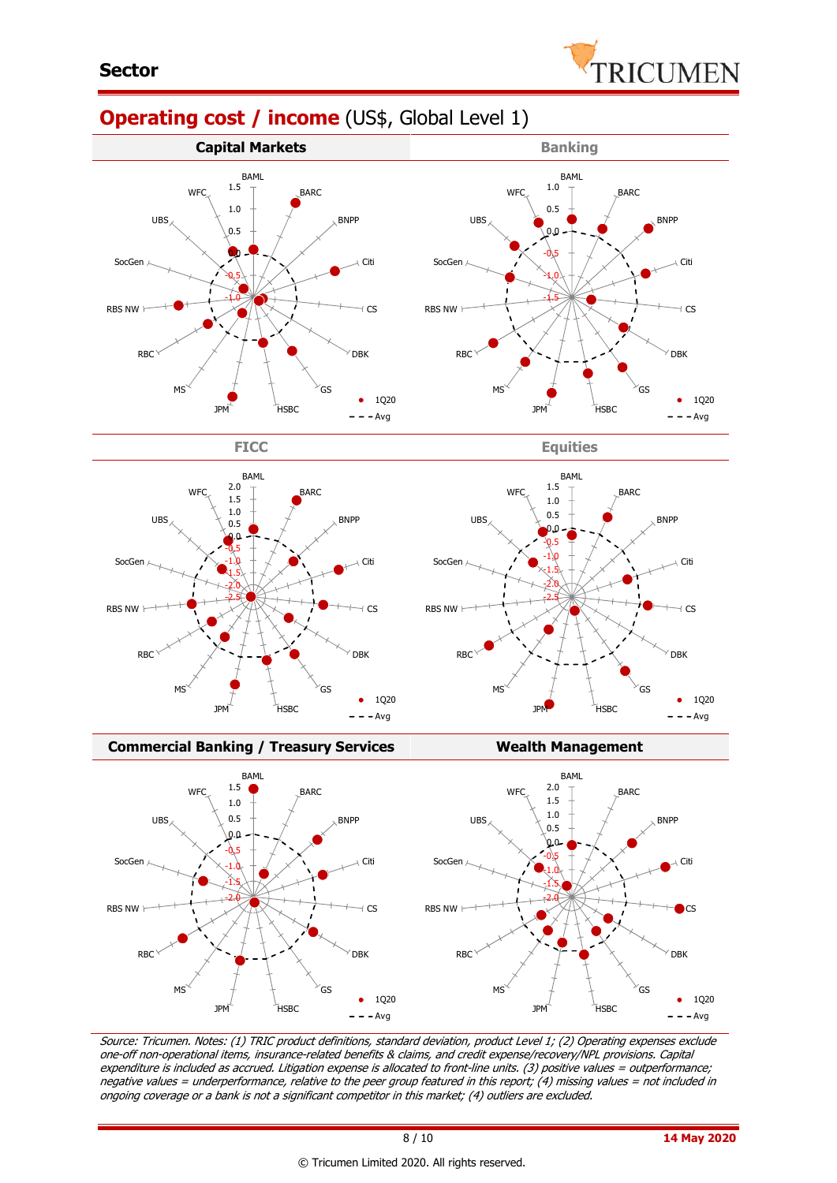

# **Operating cost / income** (US\$, Global Level 1)















Source: Tricumen. Notes: (1) TRIC product definitions, standard deviation, product Level 1; (2) Operating expenses exclude one-off non-operational items, insurance-related benefits & claims, and credit expense/recovery/NPL provisions. Capital expenditure is included as accrued. Litigation expense is allocated to front-line units. (3) positive values = outperformance; negative values = underperformance, relative to the peer group featured in this report; (4) missing values = not included in ongoing coverage or a bank is not a significant competitor in this market; (4) outliers are excluded.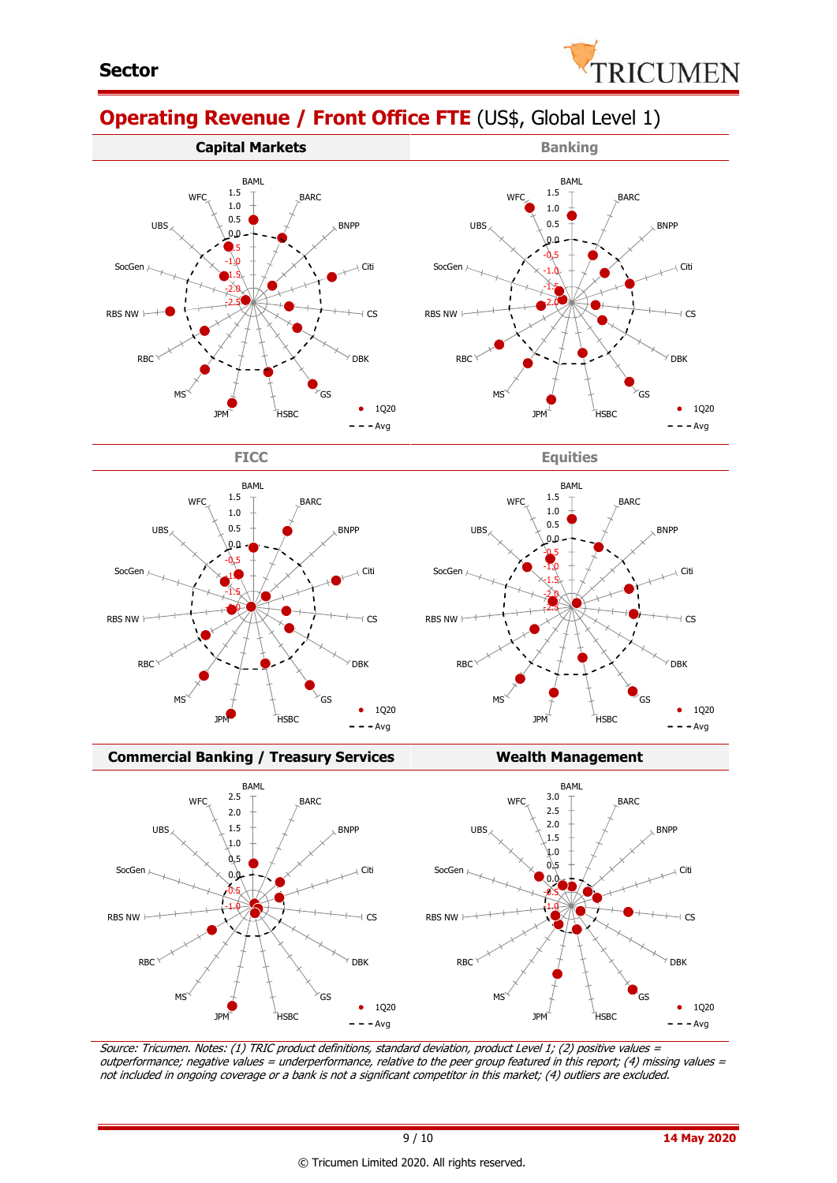

BARC

BNPP

Citi

 $\sqrt{cs}$ 

 $• 1Q20$  $- - Avg$ 

 $\sqrt{}$  DBK

GS

# **Operating Revenue / Front Office FTE** (US\$, Global Level 1)









JPM<sup>L</sup> HSBC

-2.0 -1.5 -1.0 -0.5 0.0 0.5 1.0 1.5 BAML

**W<sub>FC</sub>** 



#### **Commercial Banking / Treasury Services Wealth Management**



Source: Tricumen. Notes: (1) TRIC product definitions, standard deviation, product Level 1; (2) positive values <sup>=</sup> outperformance; negative values = underperformance, relative to the peer group featured in this report; (4) missing values = not included in ongoing coverage or a bank is not a significant competitor in this market; (4) outliers are excluded.